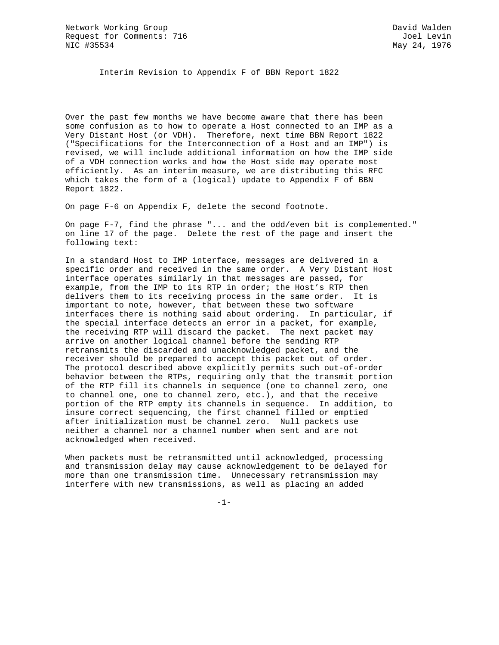Interim Revision to Appendix F of BBN Report 1822

Over the past few months we have become aware that there has been some confusion as to how to operate a Host connected to an IMP as a Very Distant Host (or VDH). Therefore, next time BBN Report 1822 ("Specifications for the Interconnection of a Host and an IMP") is revised, we will include additional information on how the IMP side of a VDH connection works and how the Host side may operate most efficiently. As an interim measure, we are distributing this RFC which takes the form of a (logical) update to Appendix F of BBN Report 1822.

On page F-6 on Appendix F, delete the second footnote.

On page F-7, find the phrase "... and the odd/even bit is complemented." on line 17 of the page. Delete the rest of the page and insert the following text:

In a standard Host to IMP interface, messages are delivered in a specific order and received in the same order. A Very Distant Host interface operates similarly in that messages are passed, for example, from the IMP to its RTP in order; the Host's RTP then delivers them to its receiving process in the same order. It is important to note, however, that between these two software interfaces there is nothing said about ordering. In particular, if the special interface detects an error in a packet, for example, the receiving RTP will discard the packet. The next packet may arrive on another logical channel before the sending RTP retransmits the discarded and unacknowledged packet, and the receiver should be prepared to accept this packet out of order. The protocol described above explicitly permits such out-of-order behavior between the RTPs, requiring only that the transmit portion of the RTP fill its channels in sequence (one to channel zero, one to channel one, one to channel zero, etc.), and that the receive portion of the RTP empty its channels in sequence. In addition, to insure correct sequencing, the first channel filled or emptied after initialization must be channel zero. Null packets use neither a channel nor a channel number when sent and are not acknowledged when received.

When packets must be retransmitted until acknowledged, processing and transmission delay may cause acknowledgement to be delayed for more than one transmission time. Unnecessary retransmission may interfere with new transmissions, as well as placing an added

-1-